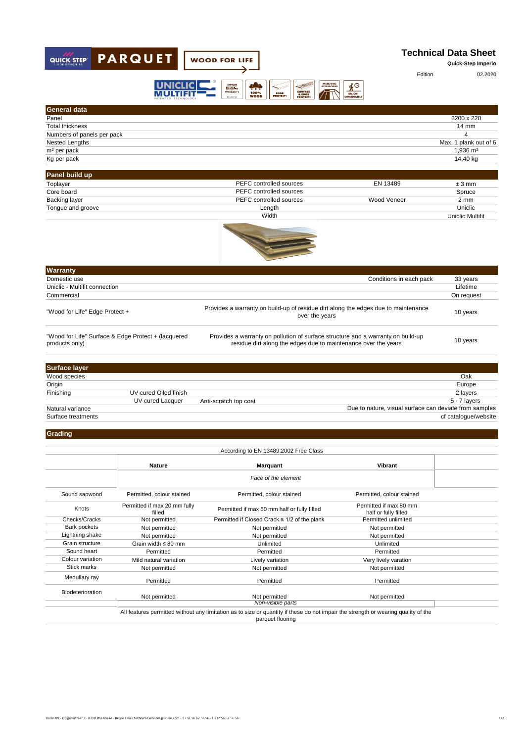

| <b>General data</b>                                                   |                       |                                                                                                                                                    |                         |
|-----------------------------------------------------------------------|-----------------------|----------------------------------------------------------------------------------------------------------------------------------------------------|-------------------------|
| Panel                                                                 |                       |                                                                                                                                                    | 2200 x 220              |
| <b>Total thickness</b>                                                |                       |                                                                                                                                                    | $14 \text{ mm}$         |
| Numbers of panels per pack                                            |                       |                                                                                                                                                    | 4                       |
| Nested Lengths                                                        |                       |                                                                                                                                                    | Max. 1 plank out of 6   |
| m <sup>2</sup> per pack                                               |                       |                                                                                                                                                    | 1,936 m <sup>2</sup>    |
| Kg per pack                                                           |                       |                                                                                                                                                    | 14,40 kg                |
| Panel build up                                                        |                       |                                                                                                                                                    |                         |
| Toplayer                                                              |                       | PEFC controlled sources<br>EN 13489                                                                                                                | $±3$ mm                 |
| Core board                                                            |                       | PEFC controlled sources                                                                                                                            | Spruce                  |
| <b>Backing layer</b>                                                  |                       | Wood Veneer<br>PEFC controlled sources                                                                                                             | $2 \, \text{mm}$        |
| Tongue and groove                                                     |                       | Length                                                                                                                                             | Uniclic                 |
|                                                                       |                       | Width                                                                                                                                              | <b>Uniclic Multifit</b> |
| <b>Warranty</b>                                                       |                       |                                                                                                                                                    |                         |
| Domestic use                                                          |                       | Conditions in each pack                                                                                                                            | 33 years                |
| Uniclic - Multifit connection                                         |                       |                                                                                                                                                    | Lifetime                |
| Commercial                                                            |                       |                                                                                                                                                    | On request              |
| "Wood for Life" Edge Protect +                                        |                       | Provides a warranty on build-up of residue dirt along the edges due to maintenance<br>over the years                                               | 10 years                |
| "Wood for Life" Surface & Edge Protect + (lacquered<br>products only) |                       | Provides a warranty on pollution of surface structure and a warranty on build-up<br>residue dirt along the edges due to maintenance over the years | 10 years                |
|                                                                       |                       |                                                                                                                                                    |                         |
| <b>Surface layer</b>                                                  |                       |                                                                                                                                                    |                         |
| Wood species                                                          |                       |                                                                                                                                                    | Oak                     |
| Origin                                                                |                       |                                                                                                                                                    | Europe                  |
| Finishing                                                             | UV cured Oiled finish |                                                                                                                                                    | 2 layers                |
|                                                                       | UV cured Lacquer      | Anti-scratch top coat                                                                                                                              | 5 - 7 layers            |
| Natural variance                                                      |                       | Due to nature, visual surface can deviate from samples                                                                                             |                         |
| Surface treatments                                                    |                       |                                                                                                                                                    | cf catalogue/website    |
| Grading                                                               |                       |                                                                                                                                                    |                         |

|                         |                                                    | According to EN 13489:2002 Free Class                                                                                                                  |                                                |  |
|-------------------------|----------------------------------------------------|--------------------------------------------------------------------------------------------------------------------------------------------------------|------------------------------------------------|--|
|                         | <b>Nature</b>                                      | <b>Marquant</b>                                                                                                                                        | Vibrant                                        |  |
|                         |                                                    | Face of the element                                                                                                                                    |                                                |  |
| Sound sapwood           | Permitted, colour stained                          | Permitted, colour stained                                                                                                                              | Permitted, colour stained                      |  |
| Knots                   | Permitted if max 20 mm fully<br>filled             | Permitted if max 50 mm half or fully filled                                                                                                            | Permitted if max 80 mm<br>half or fully filled |  |
| Checks/Cracks           | Not permitted                                      | Permitted if Closed Crack ≤ 1/2 of the plank                                                                                                           | Permitted unlimited                            |  |
| Bark pockets            | Not permitted                                      | Not permitted                                                                                                                                          | Not permitted                                  |  |
| Lightning shake         | Not permitted                                      | Not permitted                                                                                                                                          | Not permitted                                  |  |
| Grain structure         | Grain width $\leq 80$ mm<br>Unlimited<br>Unlimited |                                                                                                                                                        |                                                |  |
| Sound heart             | Permitted<br>Permitted<br>Permitted                |                                                                                                                                                        |                                                |  |
| Colour variation        | Mild natural variation                             | Lively variation                                                                                                                                       | Very lively varation                           |  |
| Stick marks             | Not permitted                                      | Not permitted                                                                                                                                          | Not permitted                                  |  |
| Medullary ray           | Permitted                                          | Permitted                                                                                                                                              | Permitted                                      |  |
| <b>Biodeterioration</b> | Not permitted                                      | Not permitted                                                                                                                                          | Not permitted                                  |  |
|                         |                                                    | Non-visible parts                                                                                                                                      |                                                |  |
|                         |                                                    | All features permitted without any limitation as to size or quantity if these do not impair the strength or wearing quality of the<br>parquet flooring |                                                |  |